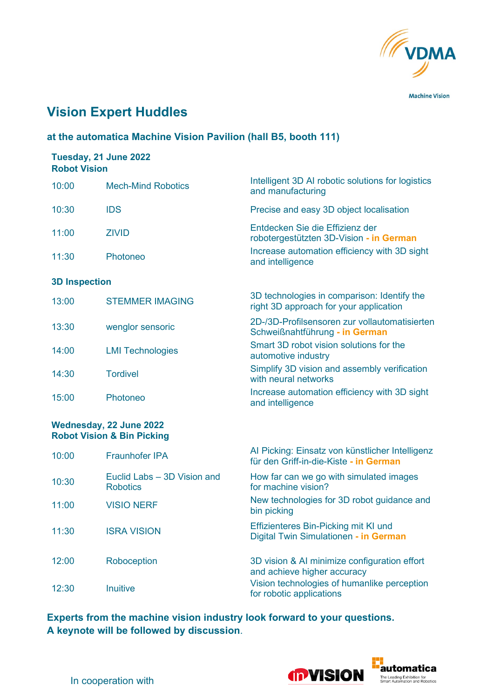

**Machine Vision** 

# **Vision Expert Huddles**

### **at the automatica Machine Vision Pavilion (hall B5, booth 111)**

### **Tuesday, 21 June 2022 Robot Vision**

| 10:00                | <b>Mech-Mind Robotics</b> | Intelligent 3D AI robotic solutions for logistics<br>and manufacturing                |
|----------------------|---------------------------|---------------------------------------------------------------------------------------|
| 10:30                | <b>IDS</b>                | Precise and easy 3D object localisation                                               |
| 11:00                | <b>ZIVID</b>              | Entdecken Sie die Effizienz der<br>robotergestützten 3D-Vision - in German            |
| 11:30                | Photoneo                  | Increase automation efficiency with 3D sight<br>and intelligence                      |
| <b>3D Inspection</b> |                           |                                                                                       |
| 13:00                | <b>STEMMER IMAGING</b>    | 3D technologies in comparison: Identify the<br>right 3D approach for your application |
| 13:30                | wenglor sensoric          | 2D-/3D-Profilsensoren zur vollautomatisierten<br>Schweißnahtführung - in German       |
| 14:00                | <b>LMI Technologies</b>   | Smart 3D robot vision solutions for the<br>automotive industry                        |
| 14:30                | <b>Tordivel</b>           | Simplify 3D vision and assembly verification<br>with neural networks                  |
| 15:00                | Photoneo                  | Increase automation efficiency with 3D sight<br>and intelligence                      |

### **Wednesday, 22 June 2022 Robot Vision & Bin Picking**

| 10:00 | <b>Fraunhofer IPA</b>                          | Al Picking: Einsatz von künstlicher Intelligenz<br>für den Griff-in-die-Kiste - in German |
|-------|------------------------------------------------|-------------------------------------------------------------------------------------------|
| 10:30 | Euclid Labs – 3D Vision and<br><b>Robotics</b> | How far can we go with simulated images<br>for machine vision?                            |
| 11:00 | <b>VISIO NERF</b>                              | New technologies for 3D robot guidance and<br>bin picking                                 |
| 11:30 | <b>ISRA VISION</b>                             | Effizienteres Bin-Picking mit KI und<br>Digital Twin Simulationen - in German             |
| 12:00 | Roboception                                    | 3D vision & AI minimize configuration effort<br>and achieve higher accuracy               |
| 12:30 | <b>Inuitive</b>                                | Vision technologies of humanlike perception<br>for robotic applications                   |

**Experts from the machine vision industry look forward to your questions. A keynote will be followed by discussion**.



In cooperation with